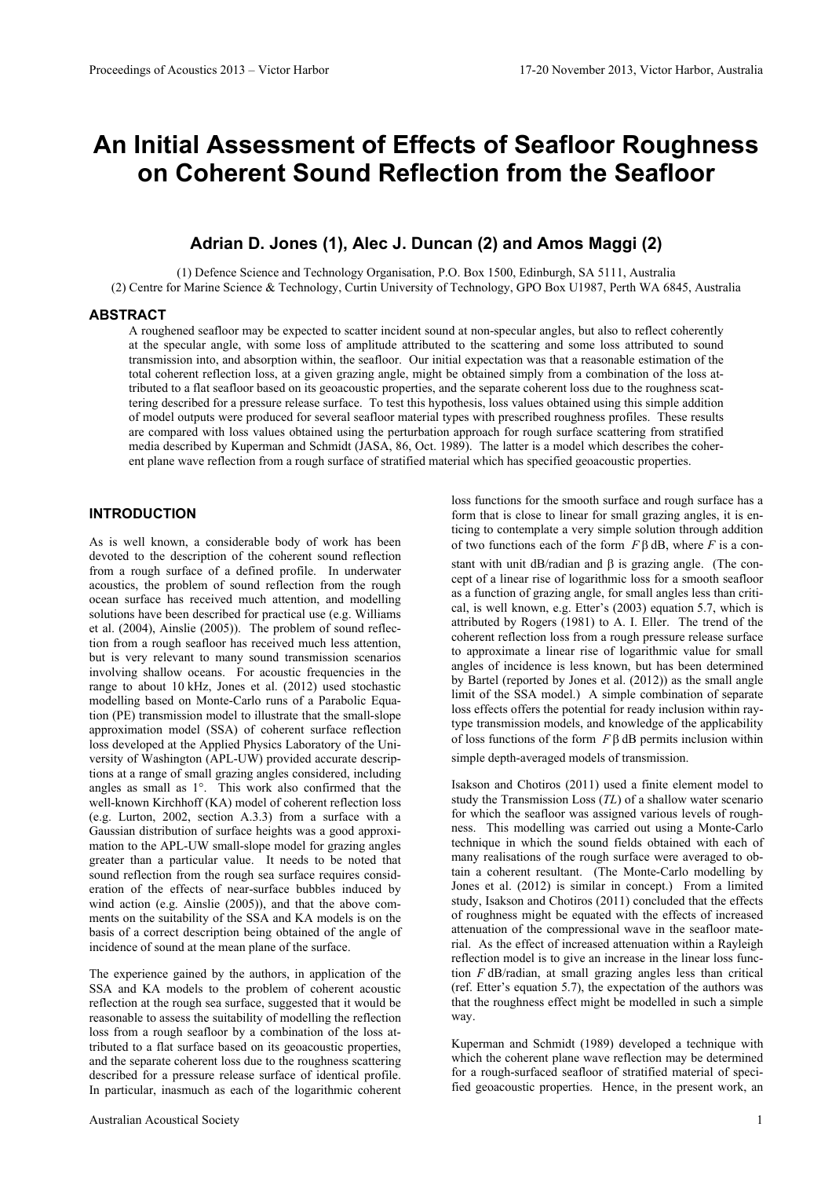# **An Initial Assessment of Effects of Seafloor Roughness on Coherent Sound Reflection from the Seafloor**

# **Adrian D. Jones (1), Alec J. Duncan (2) and Amos Maggi (2)**

(1) Defence Science and Technology Organisation, P.O. Box 1500, Edinburgh, SA 5111, Australia (2) Centre for Marine Science & Technology, Curtin University of Technology, GPO Box U1987, Perth WA 6845, Australia

#### **ABSTRACT**

A roughened seafloor may be expected to scatter incident sound at non-specular angles, but also to reflect coherently at the specular angle, with some loss of amplitude attributed to the scattering and some loss attributed to sound transmission into, and absorption within, the seafloor. Our initial expectation was that a reasonable estimation of the total coherent reflection loss, at a given grazing angle, might be obtained simply from a combination of the loss attributed to a flat seafloor based on its geoacoustic properties, and the separate coherent loss due to the roughness scattering described for a pressure release surface. To test this hypothesis, loss values obtained using this simple addition of model outputs were produced for several seafloor material types with prescribed roughness profiles. These results are compared with loss values obtained using the perturbation approach for rough surface scattering from stratified media described by Kuperman and Schmidt (JASA, 86, Oct. 1989). The latter is a model which describes the coherent plane wave reflection from a rough surface of stratified material which has specified geoacoustic properties.

## **INTRODUCTION**

As is well known, a considerable body of work has been devoted to the description of the coherent sound reflection from a rough surface of a defined profile. In underwater acoustics, the problem of sound reflection from the rough ocean surface has received much attention, and modelling solutions have been described for practical use (e.g. Williams et al. (2004), Ainslie (2005)). The problem of sound reflection from a rough seafloor has received much less attention, but is very relevant to many sound transmission scenarios involving shallow oceans. For acoustic frequencies in the range to about 10 kHz, Jones et al. (2012) used stochastic modelling based on Monte-Carlo runs of a Parabolic Equation (PE) transmission model to illustrate that the small-slope approximation model (SSA) of coherent surface reflection loss developed at the Applied Physics Laboratory of the University of Washington (APL-UW) provided accurate descriptions at a range of small grazing angles considered, including angles as small as 1°. This work also confirmed that the well-known Kirchhoff (KA) model of coherent reflection loss (e.g. Lurton, 2002, section A.3.3) from a surface with a Gaussian distribution of surface heights was a good approximation to the APL-UW small-slope model for grazing angles greater than a particular value. It needs to be noted that sound reflection from the rough sea surface requires consideration of the effects of near-surface bubbles induced by wind action (e.g. Ainslie (2005)), and that the above comments on the suitability of the SSA and KA models is on the basis of a correct description being obtained of the angle of incidence of sound at the mean plane of the surface.

The experience gained by the authors, in application of the SSA and KA models to the problem of coherent acoustic reflection at the rough sea surface, suggested that it would be reasonable to assess the suitability of modelling the reflection loss from a rough seafloor by a combination of the loss attributed to a flat surface based on its geoacoustic properties, and the separate coherent loss due to the roughness scattering described for a pressure release surface of identical profile. In particular, inasmuch as each of the logarithmic coherent loss functions for the smooth surface and rough surface has a form that is close to linear for small grazing angles, it is enticing to contemplate a very simple solution through addition of two functions each of the form *F* β dB, where *F* is a constant with unit dB/radian and β is grazing angle. (The concept of a linear rise of logarithmic loss for a smooth seafloor as a function of grazing angle, for small angles less than critical, is well known, e.g. Etter's (2003) equation 5.7, which is attributed by Rogers (1981) to A. I. Eller. The trend of the coherent reflection loss from a rough pressure release surface to approximate a linear rise of logarithmic value for small angles of incidence is less known, but has been determined by Bartel (reported by Jones et al. (2012)) as the small angle limit of the SSA model.) A simple combination of separate loss effects offers the potential for ready inclusion within raytype transmission models, and knowledge of the applicability of loss functions of the form  $F\beta$  dB permits inclusion within simple depth-averaged models of transmission.

Isakson and Chotiros (2011) used a finite element model to study the Transmission Loss (*TL*) of a shallow water scenario for which the seafloor was assigned various levels of roughness. This modelling was carried out using a Monte-Carlo technique in which the sound fields obtained with each of many realisations of the rough surface were averaged to obtain a coherent resultant. (The Monte-Carlo modelling by Jones et al. (2012) is similar in concept.) From a limited study, Isakson and Chotiros (2011) concluded that the effects of roughness might be equated with the effects of increased attenuation of the compressional wave in the seafloor material. As the effect of increased attenuation within a Rayleigh reflection model is to give an increase in the linear loss function *F* dB/radian, at small grazing angles less than critical (ref. Etter's equation 5.7), the expectation of the authors was that the roughness effect might be modelled in such a simple way.

Kuperman and Schmidt (1989) developed a technique with which the coherent plane wave reflection may be determined for a rough-surfaced seafloor of stratified material of specified geoacoustic properties. Hence, in the present work, an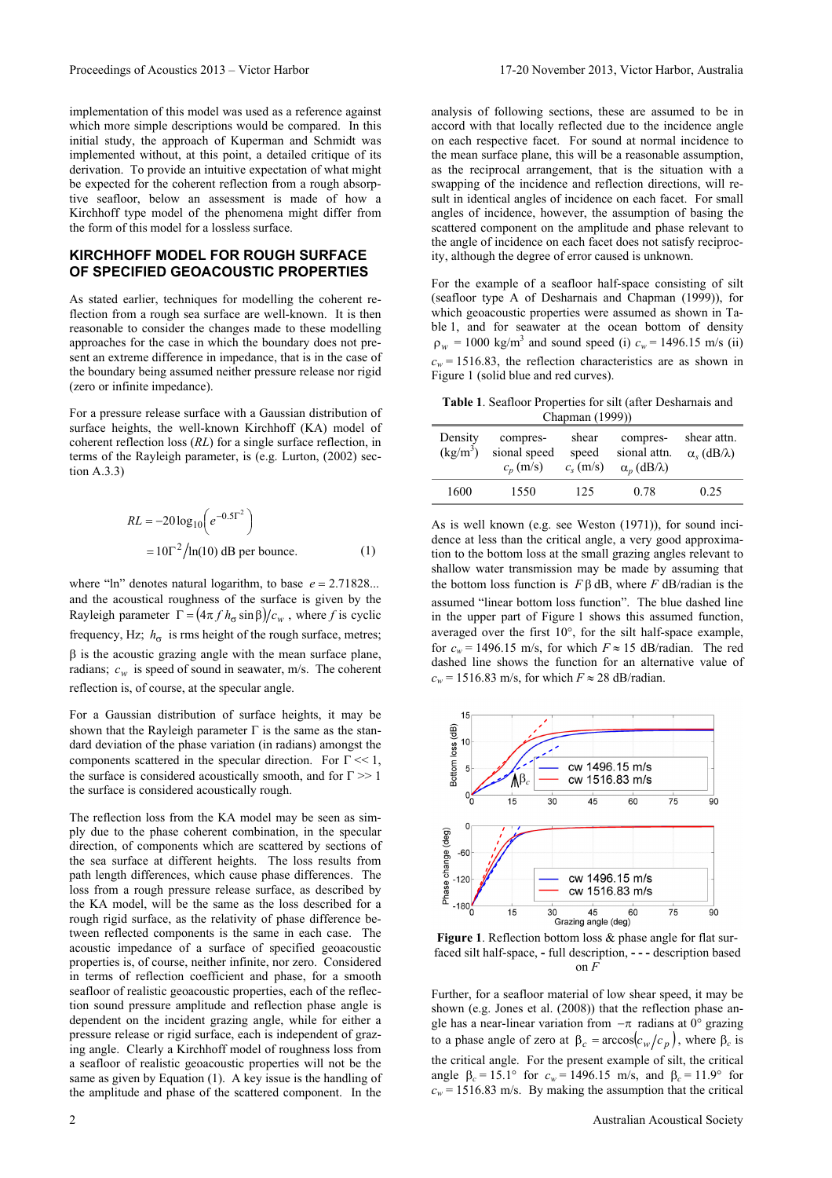implementation of this model was used as a reference against which more simple descriptions would be compared. In this initial study, the approach of Kuperman and Schmidt was implemented without, at this point, a detailed critique of its derivation. To provide an intuitive expectation of what might be expected for the coherent reflection from a rough absorptive seafloor, below an assessment is made of how a Kirchhoff type model of the phenomena might differ from the form of this model for a lossless surface.

## **KIRCHHOFF MODEL FOR ROUGH SURFACE OF SPECIFIED GEOACOUSTIC PROPERTIES**

As stated earlier, techniques for modelling the coherent reflection from a rough sea surface are well-known. It is then reasonable to consider the changes made to these modelling approaches for the case in which the boundary does not present an extreme difference in impedance, that is in the case of the boundary being assumed neither pressure release nor rigid (zero or infinite impedance).

For a pressure release surface with a Gaussian distribution of surface heights, the well-known Kirchhoff (KA) model of coherent reflection loss (*RL*) for a single surface reflection, in terms of the Rayleigh parameter, is (e.g. Lurton, (2002) section A.3.3)

$$
RL = -20 \log_{10} \left( e^{-0.5\Gamma^2} \right)
$$

$$
= 10\Gamma^2 / \ln(10) \text{ dB per bounce.}
$$
 (1)

where "ln" denotes natural logarithm, to base  $e = 2.71828...$ and the acoustical roughness of the surface is given by the Rayleigh parameter  $\Gamma = (4\pi f h_{\sigma} \sin \beta)/c_w$ , where *f* is cyclic frequency, Hz;  $h_{\sigma}$  is rms height of the rough surface, metres;  $\beta$  is the acoustic grazing angle with the mean surface plane, radians;  $c_w$  is speed of sound in seawater, m/s. The coherent reflection is, of course, at the specular angle.

For a Gaussian distribution of surface heights, it may be shown that the Rayleigh parameter  $\Gamma$  is the same as the standard deviation of the phase variation (in radians) amongst the components scattered in the specular direction. For  $\Gamma \ll 1$ , the surface is considered acoustically smooth, and for  $\Gamma \gg 1$ the surface is considered acoustically rough.

The reflection loss from the KA model may be seen as simply due to the phase coherent combination, in the specular direction, of components which are scattered by sections of the sea surface at different heights. The loss results from path length differences, which cause phase differences. The loss from a rough pressure release surface, as described by the KA model, will be the same as the loss described for a rough rigid surface, as the relativity of phase difference between reflected components is the same in each case. The acoustic impedance of a surface of specified geoacoustic properties is, of course, neither infinite, nor zero. Considered in terms of reflection coefficient and phase, for a smooth seafloor of realistic geoacoustic properties, each of the reflection sound pressure amplitude and reflection phase angle is dependent on the incident grazing angle, while for either a pressure release or rigid surface, each is independent of grazing angle. Clearly a Kirchhoff model of roughness loss from a seafloor of realistic geoacoustic properties will not be the same as given by Equation (1). A key issue is the handling of the amplitude and phase of the scattered component. In the

analysis of following sections, these are assumed to be in accord with that locally reflected due to the incidence angle on each respective facet. For sound at normal incidence to the mean surface plane, this will be a reasonable assumption, as the reciprocal arrangement, that is the situation with a swapping of the incidence and reflection directions, will result in identical angles of incidence on each facet. For small angles of incidence, however, the assumption of basing the scattered component on the amplitude and phase relevant to the angle of incidence on each facet does not satisfy reciprocity, although the degree of error caused is unknown.

For the example of a seafloor half-space consisting of silt (seafloor type A of Desharnais and Chapman (1999)), for which geoacoustic properties were assumed as shown in Table 1, and for seawater at the ocean bottom of density  $\rho_w$  = 1000 kg/m<sup>3</sup> and sound speed (i)  $c_w$  = 1496.15 m/s (ii)  $c_w$  = 1516.83, the reflection characteristics are as shown in Figure 1 (solid blue and red curves).

**Table 1**. Seafloor Properties for silt (after Desharnais and Chapman (1999))

| Density<br>$\frac{\text{kg}}{\text{m}^3}$ | compres-<br>sional speed<br>$c_n$ (m/s) | shear<br>speed<br>$c_s$ (m/s) | compres-<br>sional attn.<br>$\alpha_n$ (dB/ $\lambda$ ) | shear attn.<br>$\alpha_s$ (dB/ $\lambda$ ) |
|-------------------------------------------|-----------------------------------------|-------------------------------|---------------------------------------------------------|--------------------------------------------|
| 1600                                      | 1550                                    | 125                           | 0.78                                                    | 0.25                                       |

As is well known (e.g. see Weston (1971)), for sound incidence at less than the critical angle, a very good approximation to the bottom loss at the small grazing angles relevant to shallow water transmission may be made by assuming that the bottom loss function is  $F\beta$  dB, where *F* dB/radian is the assumed "linear bottom loss function". The blue dashed line in the upper part of Figure 1 shows this assumed function, averaged over the first 10°, for the silt half-space example, for  $c_w$  = 1496.15 m/s, for which  $F \approx 15$  dB/radian. The red dashed line shows the function for an alternative value of  $c_w$  = 1516.83 m/s, for which  $F \approx 28$  dB/radian.



**Figure 1**. Reflection bottom loss & phase angle for flat surfaced silt half-space, **-** full description, **- - -** description based on *F*

Further, for a seafloor material of low shear speed, it may be shown (e.g. Jones et al. (2008)) that the reflection phase angle has a near-linear variation from  $-\pi$  radians at 0° grazing to a phase angle of zero at  $\beta_c = \arccos(c_w/c_p)$ , where  $\beta_c$  is the critical angle. For the present example of silt, the critical angle β<sub>*c*</sub> = 15.1° for  $c_w$  = 1496.15 m/s, and β<sub>*c*</sub> = 11.9° for  $c_w$  = 1516.83 m/s. By making the assumption that the critical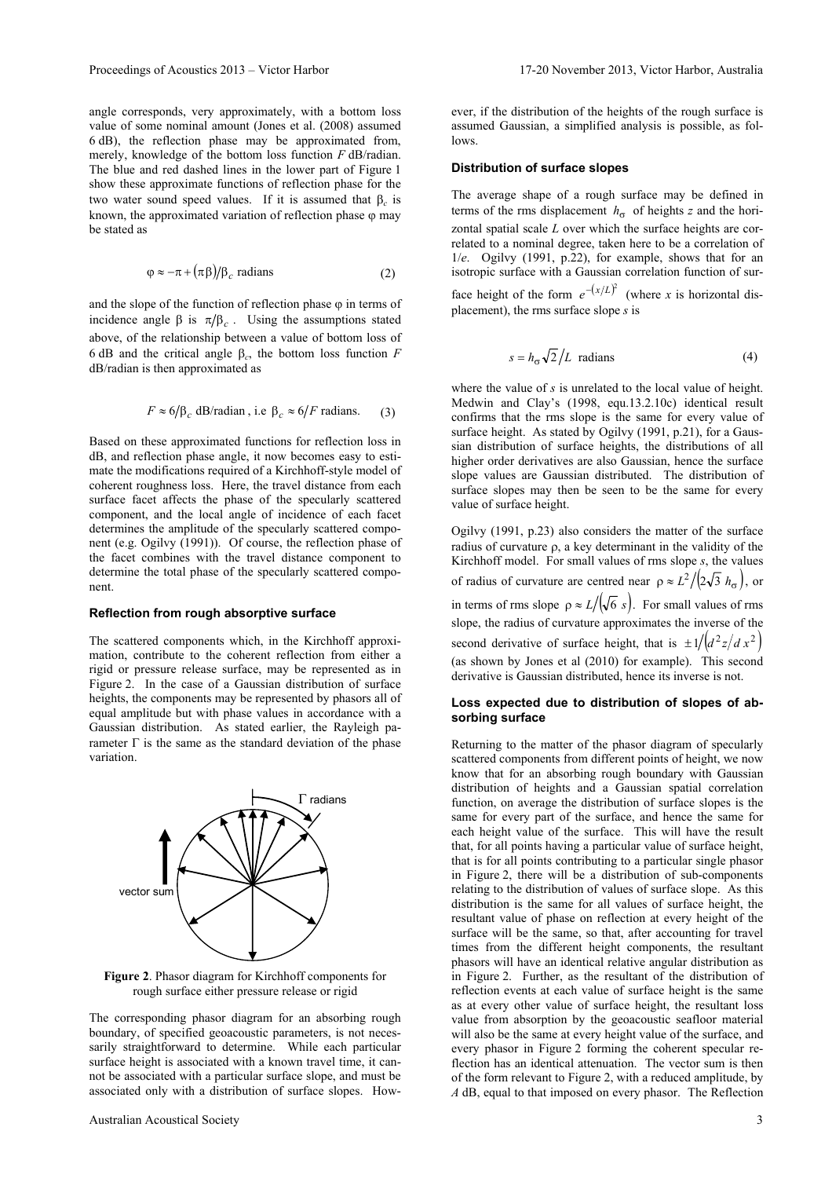angle corresponds, very approximately, with a bottom loss value of some nominal amount (Jones et al. (2008) assumed 6 dB), the reflection phase may be approximated from, merely, knowledge of the bottom loss function *F* dB/radian. The blue and red dashed lines in the lower part of Figure 1 show these approximate functions of reflection phase for the two water sound speed values. If it is assumed that β*c* is known, the approximated variation of reflection phase  $\varphi$  may be stated as

$$
\varphi \approx -\pi + (\pi \beta)/\beta_c \text{ radians} \tag{2}
$$

and the slope of the function of reflection phase  $\varphi$  in terms of incidence angle  $\beta$  is  $\pi/\beta_c$ . Using the assumptions stated above, of the relationship between a value of bottom loss of 6 dB and the critical angle β*c*, the bottom loss function *F* dB/radian is then approximated as

$$
F \approx 6/\beta_c
$$
 dB/radian, i.e  $\beta_c \approx 6/F$  radians. (3)

Based on these approximated functions for reflection loss in dB, and reflection phase angle, it now becomes easy to estimate the modifications required of a Kirchhoff-style model of coherent roughness loss. Here, the travel distance from each surface facet affects the phase of the specularly scattered component, and the local angle of incidence of each facet determines the amplitude of the specularly scattered component (e.g. Ogilvy (1991)). Of course, the reflection phase of the facet combines with the travel distance component to determine the total phase of the specularly scattered component.

#### **Reflection from rough absorptive surface**

The scattered components which, in the Kirchhoff approximation, contribute to the coherent reflection from either a rigid or pressure release surface, may be represented as in Figure 2. In the case of a Gaussian distribution of surface heights, the components may be represented by phasors all of equal amplitude but with phase values in accordance with a Gaussian distribution. As stated earlier, the Rayleigh parameter  $\Gamma$  is the same as the standard deviation of the phase variation.



**Figure 2**. Phasor diagram for Kirchhoff components for rough surface either pressure release or rigid

The corresponding phasor diagram for an absorbing rough boundary, of specified geoacoustic parameters, is not necessarily straightforward to determine. While each particular surface height is associated with a known travel time, it cannot be associated with a particular surface slope, and must be associated only with a distribution of surface slopes. However, if the distribution of the heights of the rough surface is assumed Gaussian, a simplified analysis is possible, as follows.

#### **Distribution of surface slopes**

The average shape of a rough surface may be defined in terms of the rms displacement  $h_{\sigma}$  of heights *z* and the horizontal spatial scale *L* over which the surface heights are correlated to a nominal degree, taken here to be a correlation of 1/*e*. Ogilvy (1991, p.22), for example, shows that for an isotropic surface with a Gaussian correlation function of surface height of the form  $e^{-(x/L)^2}$  (where *x* is horizontal displacement), the rms surface slope *s* is

$$
s = h_{\sigma} \sqrt{2}/L \text{ radians}
$$
 (4)

where the value of *s* is unrelated to the local value of height. Medwin and Clay's (1998, equ.13.2.10c) identical result confirms that the rms slope is the same for every value of surface height. As stated by Ogilvy (1991, p.21), for a Gaussian distribution of surface heights, the distributions of all higher order derivatives are also Gaussian, hence the surface slope values are Gaussian distributed. The distribution of surface slopes may then be seen to be the same for every value of surface height.

Ogilvy (1991, p.23) also considers the matter of the surface radius of curvature ρ, a key determinant in the validity of the Kirchhoff model. For small values of rms slope *s*, the values of radius of curvature are centred near  $\rho \approx L^2 / (2\sqrt{3} h_{\sigma})$ , or in terms of rms slope  $\rho \approx L/(\sqrt{6} s)$ . For small values of rms slope, the radius of curvature approximates the inverse of the second derivative of surface height, that is  $\pm 1 / (d^2 z / d x^2)$ (as shown by Jones et al (2010) for example). This second derivative is Gaussian distributed, hence its inverse is not.

#### **Loss expected due to distribution of slopes of absorbing surface**

Returning to the matter of the phasor diagram of specularly scattered components from different points of height, we now know that for an absorbing rough boundary with Gaussian distribution of heights and a Gaussian spatial correlation function, on average the distribution of surface slopes is the same for every part of the surface, and hence the same for each height value of the surface. This will have the result that, for all points having a particular value of surface height, that is for all points contributing to a particular single phasor in Figure 2, there will be a distribution of sub-components relating to the distribution of values of surface slope. As this distribution is the same for all values of surface height, the resultant value of phase on reflection at every height of the surface will be the same, so that, after accounting for travel times from the different height components, the resultant phasors will have an identical relative angular distribution as in Figure 2. Further, as the resultant of the distribution of reflection events at each value of surface height is the same as at every other value of surface height, the resultant loss value from absorption by the geoacoustic seafloor material will also be the same at every height value of the surface, and every phasor in Figure 2 forming the coherent specular reflection has an identical attenuation. The vector sum is then of the form relevant to Figure 2, with a reduced amplitude, by *A* dB, equal to that imposed on every phasor. The Reflection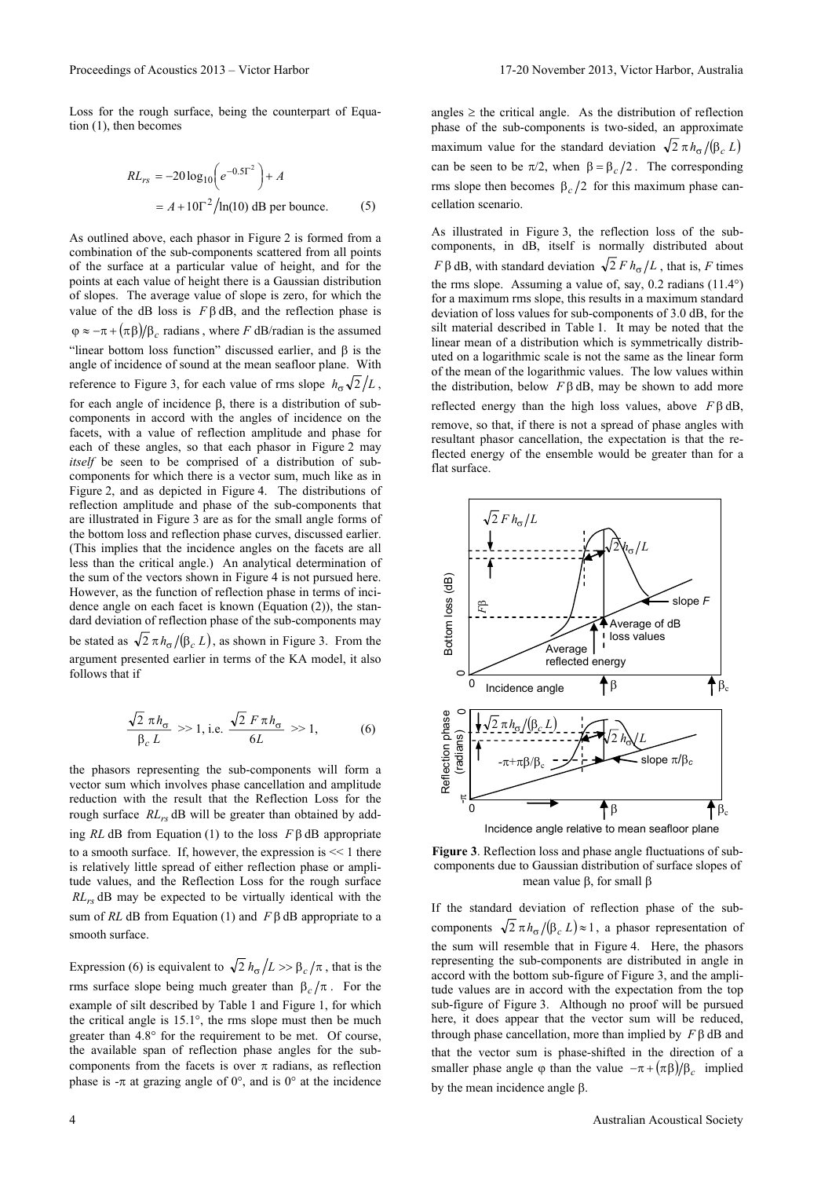Loss for the rough surface, being the counterpart of Equation (1), then becomes

$$
RL_{rs} = -20 \log_{10} \left( e^{-0.5\Gamma^2} \right) + A
$$
  
=  $A + 10\Gamma^2 / \ln(10)$  dB per bounce. (5)

As outlined above, each phasor in Figure 2 is formed from a combination of the sub-components scattered from all points of the surface at a particular value of height, and for the points at each value of height there is a Gaussian distribution of slopes. The average value of slope is zero, for which the value of the dB loss is  $Fβ$  dB, and the reflection phase is  $\varphi \approx -\pi + (\pi \beta)/\beta_c$  radians, where *F* dB/radian is the assumed "linear bottom loss function" discussed earlier, and  $\beta$  is the angle of incidence of sound at the mean seafloor plane. With reference to Figure 3, for each value of rms slope  $h_{\sigma} \sqrt{2}/L$ , for each angle of incidence β, there is a distribution of subcomponents in accord with the angles of incidence on the facets, with a value of reflection amplitude and phase for each of these angles, so that each phasor in Figure 2 may *itself* be seen to be comprised of a distribution of subcomponents for which there is a vector sum, much like as in Figure 2, and as depicted in Figure 4. The distributions of reflection amplitude and phase of the sub-components that are illustrated in Figure 3 are as for the small angle forms of the bottom loss and reflection phase curves, discussed earlier. (This implies that the incidence angles on the facets are all less than the critical angle.) An analytical determination of the sum of the vectors shown in Figure 4 is not pursued here. However, as the function of reflection phase in terms of incidence angle on each facet is known (Equation (2)), the standard deviation of reflection phase of the sub-components may be stated as  $\sqrt{2} \pi h_{\sigma} / (\beta_c L)$ , as shown in Figure 3. From the argument presented earlier in terms of the KA model, it also follows that if

$$
\frac{\sqrt{2}\pi h_{\sigma}}{\beta_c L} \gg 1, \text{ i.e. } \frac{\sqrt{2} F \pi h_{\sigma}}{6L} \gg 1, \tag{6}
$$

the phasors representing the sub-components will form a vector sum which involves phase cancellation and amplitude reduction with the result that the Reflection Loss for the rough surface *RL<sub>rs</sub>* dB will be greater than obtained by adding *RL* dB from Equation (1) to the loss *F* β dB appropriate to a smooth surface. If, however, the expression is  $<< 1$  there is relatively little spread of either reflection phase or amplitude values, and the Reflection Loss for the rough surface *RLrs* dB may be expected to be virtually identical with the sum of *RL* dB from Equation (1) and *F* β dB appropriate to a smooth surface.

Expression (6) is equivalent to  $\sqrt{2} h_{\sigma}/L >> \beta_c/\pi$ , that is the rms surface slope being much greater than  $β<sub>c</sub>/π$ . For the example of silt described by Table 1 and Figure 1, for which the critical angle is 15.1°, the rms slope must then be much greater than 4.8° for the requirement to be met. Of course, the available span of reflection phase angles for the subcomponents from the facets is over  $\pi$  radians, as reflection phase is  $-\pi$  at grazing angle of 0°, and is 0° at the incidence angles  $\geq$  the critical angle. As the distribution of reflection phase of the sub-components is two-sided, an approximate maximum value for the standard deviation  $\sqrt{2} \pi h_{\sigma}/(\beta_c L)$ can be seen to be  $\pi/2$ , when  $\beta = \beta_c/2$ . The corresponding rms slope then becomes  $β<sub>c</sub>/2$  for this maximum phase cancellation scenario.

As illustrated in Figure 3, the reflection loss of the subcomponents, in dB, itself is normally distributed about *F* β dB, with standard deviation  $\sqrt{2}$  *F*  $h_\sigma/L$ , that is, *F* times the rms slope. Assuming a value of, say, 0.2 radians (11.4°) for a maximum rms slope, this results in a maximum standard deviation of loss values for sub-components of 3.0 dB, for the silt material described in Table 1. It may be noted that the linear mean of a distribution which is symmetrically distributed on a logarithmic scale is not the same as the linear form of the mean of the logarithmic values. The low values within the distribution, below  $F$ β dB, may be shown to add more reflected energy than the high loss values, above *F* β dB, remove, so that, if there is not a spread of phase angles with resultant phasor cancellation, the expectation is that the reflected energy of the ensemble would be greater than for a flat surface.



**Figure 3**. Reflection loss and phase angle fluctuations of subcomponents due to Gaussian distribution of surface slopes of mean value β, for small β

If the standard deviation of reflection phase of the subcomponents  $\sqrt{2} \pi h_{\sigma} / (\beta_c L) \approx 1$ , a phasor representation of the sum will resemble that in Figure 4. Here, the phasors representing the sub-components are distributed in angle in accord with the bottom sub-figure of Figure 3, and the amplitude values are in accord with the expectation from the top sub-figure of Figure 3. Although no proof will be pursued here, it does appear that the vector sum will be reduced, through phase cancellation, more than implied by *F* β dB and that the vector sum is phase-shifted in the direction of a smaller phase angle  $\varphi$  than the value  $-\pi + (\pi \beta)/\beta_c$  implied by the mean incidence angle β.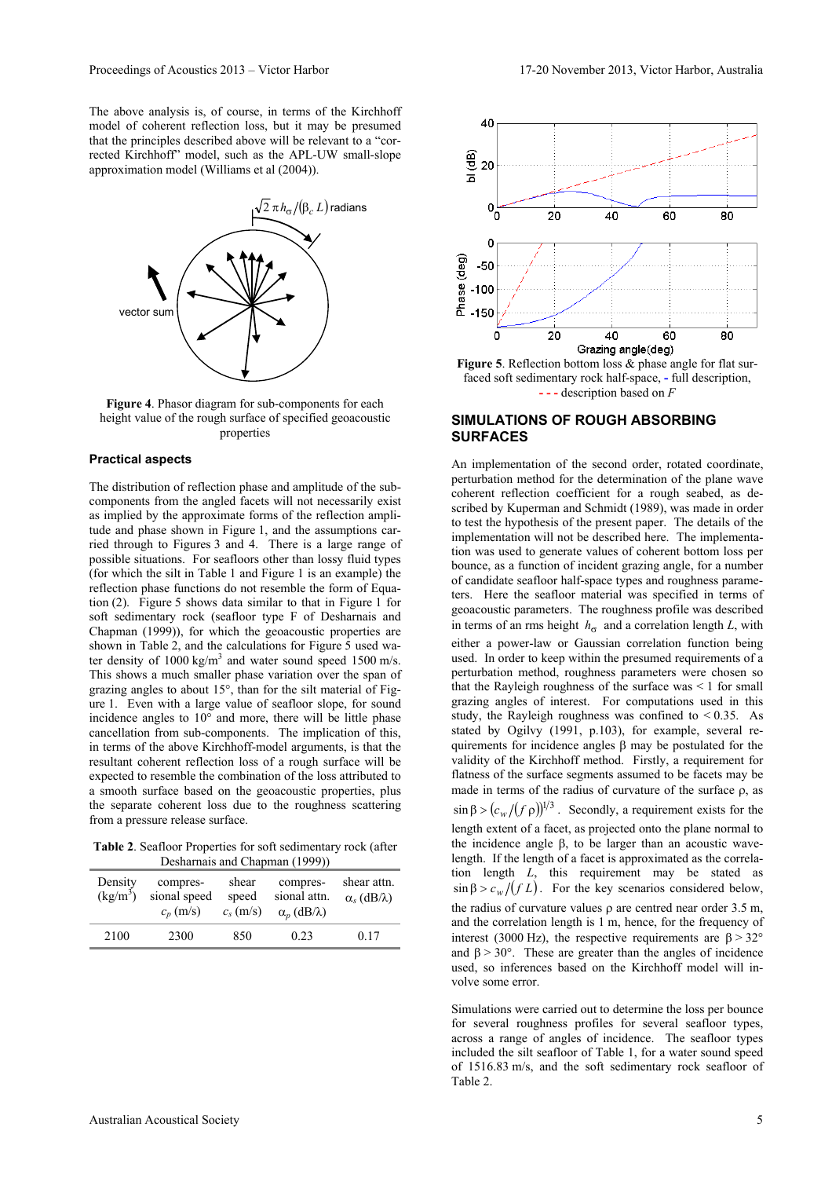The above analysis is, of course, in terms of the Kirchhoff model of coherent reflection loss, but it may be presumed that the principles described above will be relevant to a "corrected Kirchhoff" model, such as the APL-UW small-slope approximation model (Williams et al (2004)).



**Figure 4**. Phasor diagram for sub-components for each height value of the rough surface of specified geoacoustic properties

#### **Practical aspects**

The distribution of reflection phase and amplitude of the subcomponents from the angled facets will not necessarily exist as implied by the approximate forms of the reflection amplitude and phase shown in Figure 1, and the assumptions carried through to Figures 3 and 4. There is a large range of possible situations. For seafloors other than lossy fluid types (for which the silt in Table 1 and Figure 1 is an example) the reflection phase functions do not resemble the form of Equation (2). Figure 5 shows data similar to that in Figure 1 for soft sedimentary rock (seafloor type F of Desharnais and Chapman (1999)), for which the geoacoustic properties are shown in Table 2, and the calculations for Figure 5 used water density of  $1000 \text{ kg/m}^3$  and water sound speed  $1500 \text{ m/s}$ . This shows a much smaller phase variation over the span of grazing angles to about 15°, than for the silt material of Figure 1. Even with a large value of seafloor slope, for sound incidence angles to 10° and more, there will be little phase cancellation from sub-components. The implication of this, in terms of the above Kirchhoff-model arguments, is that the resultant coherent reflection loss of a rough surface will be expected to resemble the combination of the loss attributed to a smooth surface based on the geoacoustic properties, plus the separate coherent loss due to the roughness scattering from a pressure release surface.

**Table 2**. Seafloor Properties for soft sedimentary rock (after Desharnais and Chapman (1999))

| Density<br>$(kg/m^3)$ | compres-<br>sional speed<br>$c_n$ (m/s) | shear<br>speed<br>$c_s$ (m/s) | $D$ containare and chapman (1222)<br>compres-<br>sional attn.<br>$\alpha_n$ (dB/ $\lambda$ ) | shear attn.<br>$\alpha_s$ (dB/ $\lambda$ ) |
|-----------------------|-----------------------------------------|-------------------------------|----------------------------------------------------------------------------------------------|--------------------------------------------|
| 2100                  | 2300                                    | 850                           | 0.23                                                                                         | 0.17                                       |



faced soft sedimentary rock half-space, **-** full description, **- - -** description based on *F*

#### **SIMULATIONS OF ROUGH ABSORBING SURFACES**

An implementation of the second order, rotated coordinate, perturbation method for the determination of the plane wave coherent reflection coefficient for a rough seabed, as described by Kuperman and Schmidt (1989), was made in order to test the hypothesis of the present paper. The details of the implementation will not be described here. The implementation was used to generate values of coherent bottom loss per bounce, as a function of incident grazing angle, for a number of candidate seafloor half-space types and roughness parameters. Here the seafloor material was specified in terms of geoacoustic parameters. The roughness profile was described in terms of an rms height  $h_{\sigma}$  and a correlation length *L*, with either a power-law or Gaussian correlation function being used. In order to keep within the presumed requirements of a perturbation method, roughness parameters were chosen so that the Rayleigh roughness of the surface was  $\leq 1$  for small grazing angles of interest. For computations used in this study, the Rayleigh roughness was confined to  $\leq 0.35$ . As stated by Ogilvy (1991, p.103), for example, several requirements for incidence angles β may be postulated for the validity of the Kirchhoff method. Firstly, a requirement for flatness of the surface segments assumed to be facets may be made in terms of the radius of curvature of the surface ρ, as  $\sin \beta > (c_w/(f \rho))^{1/3}$ . Secondly, a requirement exists for the length extent of a facet, as projected onto the plane normal to the incidence angle β, to be larger than an acoustic wavelength. If the length of a facet is approximated as the correlation length *L*, this requirement may be stated as  $\sin \beta > c_w/(f L)$ . For the key scenarios considered below, the radius of curvature values  $\rho$  are centred near order 3.5 m, and the correlation length is 1 m, hence, for the frequency of interest (3000 Hz), the respective requirements are  $\beta > 32^{\circ}$ and  $\beta$  > 30°. These are greater than the angles of incidence used, so inferences based on the Kirchhoff model will involve some error.

Simulations were carried out to determine the loss per bounce for several roughness profiles for several seafloor types, across a range of angles of incidence. The seafloor types included the silt seafloor of Table 1, for a water sound speed of 1516.83 m/s, and the soft sedimentary rock seafloor of Table 2.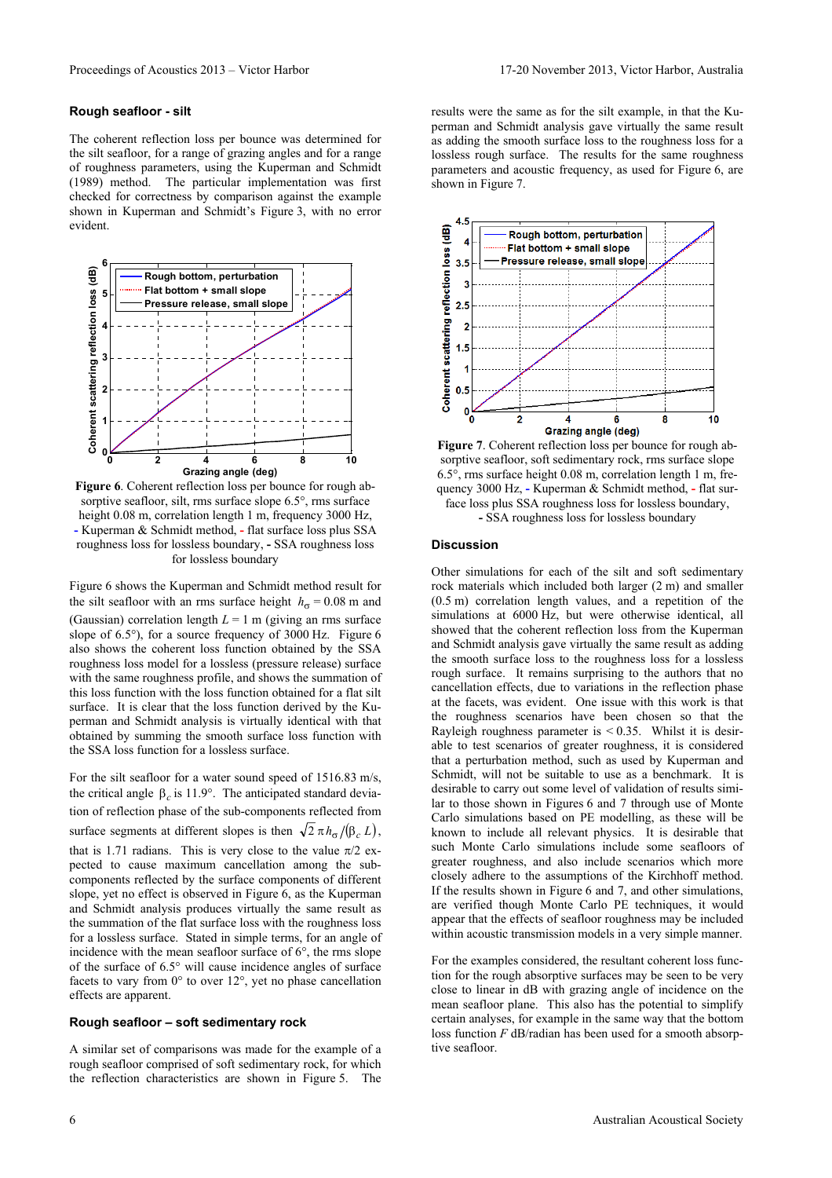#### **Rough seafloor - silt**

The coherent reflection loss per bounce was determined for the silt seafloor, for a range of grazing angles and for a range of roughness parameters, using the Kuperman and Schmidt (1989) method. The particular implementation was first checked for correctness by comparison against the example shown in Kuperman and Schmidt's Figure 3, with no error evident.



**Figure 6**. Coherent reflection loss per bounce for rough absorptive seafloor, silt, rms surface slope 6.5°, rms surface height 0.08 m, correlation length 1 m, frequency 3000 Hz, **-** Kuperman & Schmidt method, **-** flat surface loss plus SSA roughness loss for lossless boundary, **-** SSA roughness loss for lossless boundary

Figure 6 shows the Kuperman and Schmidt method result for the silt seafloor with an rms surface height  $h_{\sigma} = 0.08$  m and (Gaussian) correlation length  $L = 1$  m (giving an rms surface slope of 6.5°), for a source frequency of 3000 Hz. Figure 6 also shows the coherent loss function obtained by the SSA roughness loss model for a lossless (pressure release) surface with the same roughness profile, and shows the summation of this loss function with the loss function obtained for a flat silt surface. It is clear that the loss function derived by the Kuperman and Schmidt analysis is virtually identical with that obtained by summing the smooth surface loss function with the SSA loss function for a lossless surface.

For the silt seafloor for a water sound speed of 1516.83 m/s, the critical angle  $β<sub>c</sub>$  is 11.9°. The anticipated standard deviation of reflection phase of the sub-components reflected from surface segments at different slopes is then  $\sqrt{2} \pi h_{\sigma}/(\beta_c L)$ , that is 1.71 radians. This is very close to the value  $\pi/2$  expected to cause maximum cancellation among the subcomponents reflected by the surface components of different slope, yet no effect is observed in Figure 6, as the Kuperman and Schmidt analysis produces virtually the same result as the summation of the flat surface loss with the roughness loss for a lossless surface. Stated in simple terms, for an angle of incidence with the mean seafloor surface of 6°, the rms slope of the surface of 6.5° will cause incidence angles of surface facets to vary from 0° to over 12°, yet no phase cancellation effects are apparent.

#### **Rough seafloor – soft sedimentary rock**

A similar set of comparisons was made for the example of a rough seafloor comprised of soft sedimentary rock, for which the reflection characteristics are shown in Figure 5. The results were the same as for the silt example, in that the Kuperman and Schmidt analysis gave virtually the same result as adding the smooth surface loss to the roughness loss for a lossless rough surface. The results for the same roughness parameters and acoustic frequency, as used for Figure 6, are shown in Figure 7.



**Figure 7**. Coherent reflection loss per bounce for rough absorptive seafloor, soft sedimentary rock, rms surface slope 6.5°, rms surface height 0.08 m, correlation length 1 m, frequency 3000 Hz, **-** Kuperman & Schmidt method, **-** flat surface loss plus SSA roughness loss for lossless boundary, **-** SSA roughness loss for lossless boundary

#### **Discussion**

Other simulations for each of the silt and soft sedimentary rock materials which included both larger (2 m) and smaller (0.5 m) correlation length values, and a repetition of the simulations at 6000 Hz, but were otherwise identical, all showed that the coherent reflection loss from the Kuperman and Schmidt analysis gave virtually the same result as adding the smooth surface loss to the roughness loss for a lossless rough surface. It remains surprising to the authors that no cancellation effects, due to variations in the reflection phase at the facets, was evident. One issue with this work is that the roughness scenarios have been chosen so that the Rayleigh roughness parameter is  $< 0.35$ . Whilst it is desirable to test scenarios of greater roughness, it is considered that a perturbation method, such as used by Kuperman and Schmidt, will not be suitable to use as a benchmark. It is desirable to carry out some level of validation of results similar to those shown in Figures 6 and 7 through use of Monte Carlo simulations based on PE modelling, as these will be known to include all relevant physics. It is desirable that such Monte Carlo simulations include some seafloors of greater roughness, and also include scenarios which more closely adhere to the assumptions of the Kirchhoff method. If the results shown in Figure 6 and 7, and other simulations, are verified though Monte Carlo PE techniques, it would appear that the effects of seafloor roughness may be included within acoustic transmission models in a very simple manner.

For the examples considered, the resultant coherent loss function for the rough absorptive surfaces may be seen to be very close to linear in dB with grazing angle of incidence on the mean seafloor plane. This also has the potential to simplify certain analyses, for example in the same way that the bottom loss function *F* dB/radian has been used for a smooth absorptive seafloor.